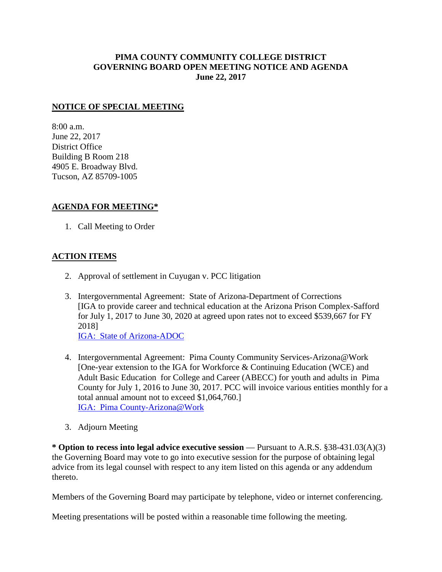## **PIMA COUNTY COMMUNITY COLLEGE DISTRICT GOVERNING BOARD OPEN MEETING NOTICE AND AGENDA June 22, 2017**

## **NOTICE OF SPECIAL MEETING**

8:00 a.m. June 22, 2017 District Office Building B Room 218 4905 E. Broadway Blvd. Tucson, AZ 85709-1005

## **AGENDA FOR MEETING\***

1. Call Meeting to Order

## **ACTION ITEMS**

- 2. Approval of settlement in Cuyugan v. PCC litigation
- 3. Intergovernmental Agreement: State of Arizona-Department of Corrections [IGA to provide career and technical education at the Arizona Prison Complex-Safford for July 1, 2017 to June 30, 2020 at agreed upon rates not to exceed \$539,667 for FY 2018] [IGA: State of Arizona-ADOC](http://www.pima.edu/meeting-notices-support/2017-docs/201706-22-az-dept-corrections-iga.pdf)
- 4. Intergovernmental Agreement: Pima County Community Services-Arizona@Work [One-year extension to the IGA for Workforce & Continuing Education (WCE) and Adult Basic Education for College and Career (ABECC) for youth and adults in Pima County for July 1, 2016 to June 30, 2017. PCC will invoice various entities monthly for a total annual amount not to exceed \$1,064,760.] [IGA: Pima County-Arizona@Work](http://www.pima.edu/meeting-notices-support/2017-docs/201706-22-pima-county-work-dev-education-IGA.pdf)
- 3. Adjourn Meeting

**\* Option to recess into legal advice executive session** — Pursuant to A.R.S. §38-431.03(A)(3) the Governing Board may vote to go into executive session for the purpose of obtaining legal advice from its legal counsel with respect to any item listed on this agenda or any addendum thereto.

Members of the Governing Board may participate by telephone, video or internet conferencing.

Meeting presentations will be posted within a reasonable time following the meeting.